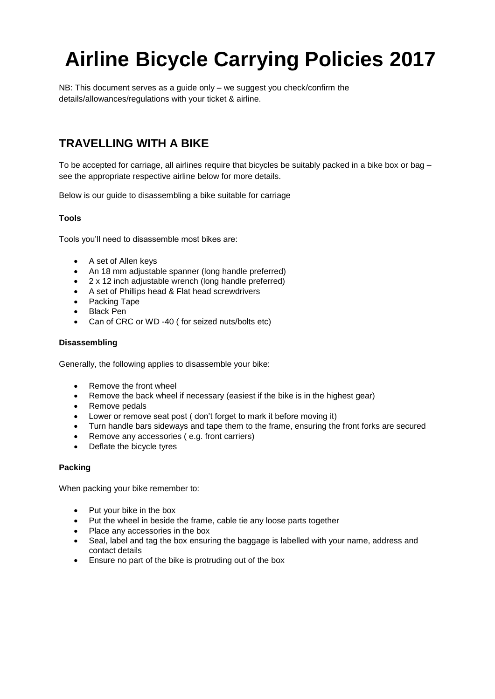# **Airline Bicycle Carrying Policies 2017**

NB: This document serves as a guide only – we suggest you check/confirm the details/allowances/regulations with your ticket & airline.

# **TRAVELLING WITH A BIKE**

To be accepted for carriage, all airlines require that bicycles be suitably packed in a bike box or bag – see the appropriate respective airline below for more details.

Below is our guide to disassembling a bike suitable for carriage

# **Tools**

Tools you'll need to disassemble most bikes are:

- A set of Allen keys
- An 18 mm adjustable spanner (long handle preferred)
- 2 x 12 inch adjustable wrench (long handle preferred)
- A set of Phillips head & Flat head screwdrivers
- Packing Tape
- Black Pen
- Can of CRC or WD -40 ( for seized nuts/bolts etc)

#### **Disassembling**

Generally, the following applies to disassemble your bike:

- Remove the front wheel
- Remove the back wheel if necessary (easiest if the bike is in the highest gear)
- Remove pedals
- Lower or remove seat post ( don't forget to mark it before moving it)
- Turn handle bars sideways and tape them to the frame, ensuring the front forks are secured
- Remove any accessories ( e.g. front carriers)
- Deflate the bicycle tyres

# **Packing**

When packing your bike remember to:

- Put your bike in the box
- Put the wheel in beside the frame, cable tie any loose parts together
- Place any accessories in the box
- Seal, label and tag the box ensuring the baggage is labelled with your name, address and contact details
- Ensure no part of the bike is protruding out of the box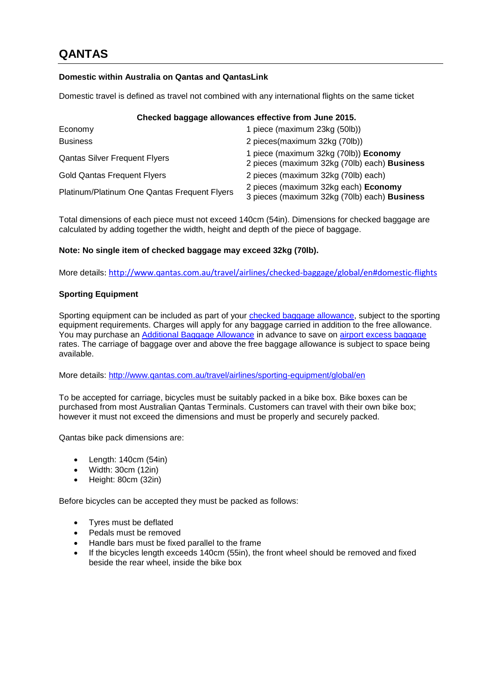# **Domestic within Australia on Qantas and QantasLink**

Domestic travel is defined as travel not combined with any international flights on the same ticket

# **Checked baggage allowances effective from June 2015.**

| Economy                                      | 1 piece (maximum 23kg (50lb))                                                         |
|----------------------------------------------|---------------------------------------------------------------------------------------|
| <b>Business</b>                              | 2 pieces(maximum 32kg (70lb))                                                         |
| <b>Qantas Silver Frequent Flyers</b>         | 1 piece (maximum 32kg (70lb)) Economy<br>2 pieces (maximum 32kg (70lb) each) Business |
| <b>Gold Qantas Frequent Flyers</b>           | 2 pieces (maximum 32kg (70lb) each)                                                   |
| Platinum/Platinum One Qantas Frequent Flyers | 2 pieces (maximum 32kg each) Economy<br>3 pieces (maximum 32kg (70lb) each) Business  |

Total dimensions of each piece must not exceed 140cm (54in). Dimensions for checked baggage are calculated by adding together the width, height and depth of the piece of baggage.

# **Note: No single item of checked baggage may exceed 32kg (70lb).**

More details: <http://www.qantas.com.au/travel/airlines/checked-baggage/global/en#domestic-flights>

# **Sporting Equipment**

Sporting equipment can be included as part of your [checked baggage allowance,](http://www.qantas.com.au/travel/airlines/checked-baggage/global/en) subject to the sporting equipment requirements. Charges will apply for any baggage carried in addition to the free allowance. You may purchase an [Additional Baggage Allowance](http://www.qantas.com.au/travel/airlines/prepaid-additional-baggage/global/en) in advance to save on [airport excess baggage](http://www.qantas.com.au/travel/airlines/prepaid-additional-baggage/global/en) rates. The carriage of baggage over and above the free baggage allowance is subject to space being available.

More details:<http://www.qantas.com.au/travel/airlines/sporting-equipment/global/en>

To be accepted for carriage, bicycles must be suitably packed in a bike box. Bike boxes can be purchased from most Australian Qantas Terminals. Customers can travel with their own bike box; however it must not exceed the dimensions and must be properly and securely packed.

Qantas bike pack dimensions are:

- Length: 140cm (54in)
- Width: 30cm (12in)
- Height: 80cm (32in)

Before bicycles can be accepted they must be packed as follows:

- Tyres must be deflated
- Pedals must be removed
- Handle bars must be fixed parallel to the frame
- If the bicycles length exceeds 140cm (55in), the front wheel should be removed and fixed beside the rear wheel, inside the bike box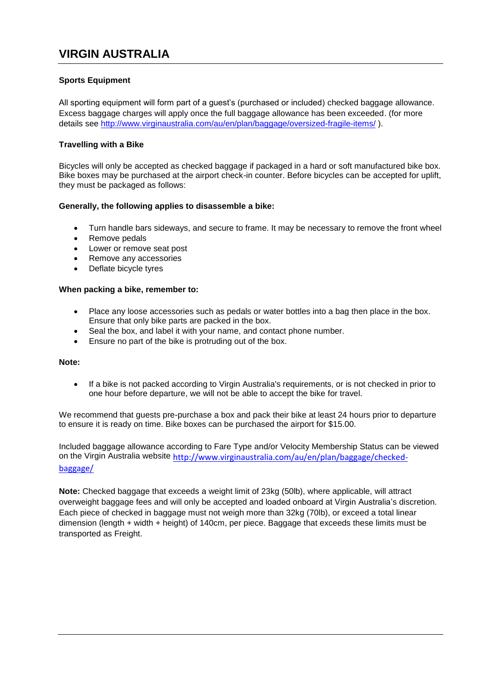# **VIRGIN AUSTRALIA**

# **Sports Equipment**

All sporting equipment will form part of a guest's (purchased or included) checked baggage allowance. Excess baggage charges will apply once the full baggage allowance has been exceeded. (for more details see<http://www.virginaustralia.com/au/en/plan/baggage/oversized-fragile-items/> ).

# **Travelling with a Bike**

Bicycles will only be accepted as checked baggage if packaged in a hard or soft manufactured bike box. Bike boxes may be purchased at the airport check-in counter. Before bicycles can be accepted for uplift, they must be packaged as follows:

# **Generally, the following applies to disassemble a bike:**

- Turn handle bars sideways, and secure to frame. It may be necessary to remove the front wheel
- Remove pedals
- Lower or remove seat post
- Remove any accessories
- Deflate bicycle tyres

#### **When packing a bike, remember to:**

- Place any loose accessories such as pedals or water bottles into a bag then place in the box. Ensure that only bike parts are packed in the box.
- Seal the box, and label it with your name, and contact phone number.
- Ensure no part of the bike is protruding out of the box.

#### **Note:**

 If a bike is not packed according to Virgin Australia's requirements, or is not checked in prior to one hour before departure, we will not be able to accept the bike for travel.

We recommend that quests pre-purchase a box and pack their bike at least 24 hours prior to departure to ensure it is ready on time. Bike boxes can be purchased the airport for \$15.00.

Included baggage allowance according to Fare Type and/or Velocity Membership Status can be viewed on the Virgin Australia website [http://www.virginaustralia.com/au/en/plan/baggage/checked](http://www.virginaustralia.com/au/en/plan/baggage/checked-baggage/)[baggage/](http://www.virginaustralia.com/au/en/plan/baggage/checked-baggage/)

**Note:** Checked baggage that exceeds a weight limit of 23kg (50lb), where applicable, will attract overweight baggage fees and will only be accepted and loaded onboard at Virgin Australia's discretion. Each piece of checked in baggage must not weigh more than 32kg (70lb), or exceed a total linear dimension (length + width + height) of 140cm, per piece. Baggage that exceeds these limits must be transported as [Freight.](http://www.virginaustralia.com/us/en/bookings/freight/our-freight-services/)